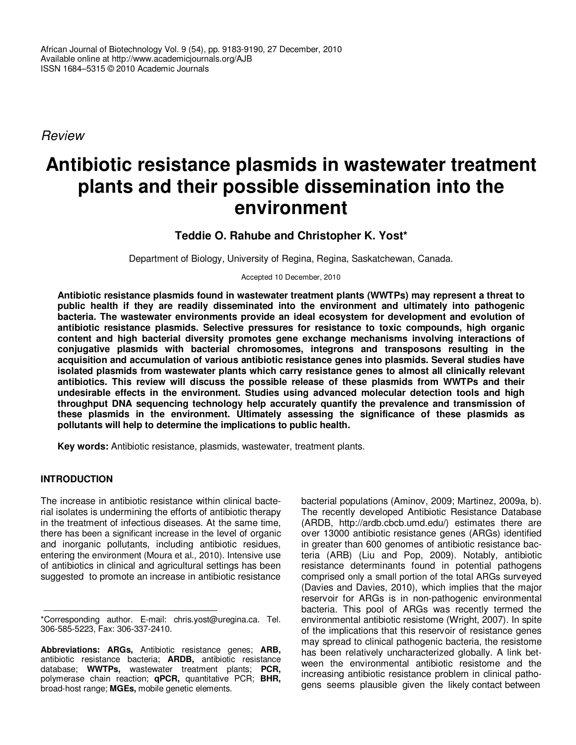African Journal of Biotechnology Vol. 9 (54), pp. 9183-9190, 27 December, 2010 Available online at http://www.academicjournals.org/AJB ISSN 1684–5315 © 2010 Academic Journals

Review

# **Antibiotic resistance plasmids in wastewater treatment plants and their possible dissemination into the environment**

# **Teddie O. Rahube and Christopher K. Yost\***

Department of Biology, University of Regina, Regina, Saskatchewan, Canada.

Accepted 10 December, 2010

**Antibiotic resistance plasmids found in wastewater treatment plants (WWTPs) may represent a threat to public health if they are readily disseminated into the environment and ultimately into pathogenic bacteria. The wastewater environments provide an ideal ecosystem for development and evolution of antibiotic resistance plasmids. Selective pressures for resistance to toxic compounds, high organic content and high bacterial diversity promotes gene exchange mechanisms involving interactions of conjugative plasmids with bacterial chromosomes, integrons and transposons resulting in the acquisition and accumulation of various antibiotic resistance genes into plasmids. Several studies have isolated plasmids from wastewater plants which carry resistance genes to almost all clinically relevant antibiotics. This review will discuss the possible release of these plasmids from WWTPs and their undesirable effects in the environment. Studies using advanced molecular detection tools and high throughput DNA sequencing technology help accurately quantify the prevalence and transmission of these plasmids in the environment. Ultimately assessing the significance of these plasmids as pollutants will help to determine the implications to public health.** 

**Key words:** Antibiotic resistance, plasmids, wastewater, treatment plants.

#### **INTRODUCTION**

The increase in antibiotic resistance within clinical bacterial isolates is undermining the efforts of antibiotic therapy in the treatment of infectious diseases. At the same time, there has been a significant increase in the level of organic and inorganic pollutants, including antibiotic residues, entering the environment (Moura et al., 2010). Intensive use of antibiotics in clinical and agricultural settings has been suggested to promote an increase in antibiotic resistance

bacterial populations (Aminov, 2009; Martinez, 2009a, b). The recently developed Antibiotic Resistance Database (ARDB, http://ardb.cbcb.umd.edu/) estimates there are over 13000 antibiotic resistance genes (ARGs) identified in greater than 600 genomes of antibiotic resistance bacteria (ARB) (Liu and Pop, 2009). Notably, antibiotic resistance determinants found in potential pathogens comprised only a small portion of the total ARGs surveyed (Davies and Davies, 2010), which implies that the major reservoir for ARGs is in non-pathogenic environmental bacteria. This pool of ARGs was recently termed the environmental antibiotic resistome (Wright, 2007). In spite of the implications that this reservoir of resistance genes may spread to clinical pathogenic bacteria, the resistome has been relatively uncharacterized globally. A link between the environmental antibiotic resistome and the increasing antibiotic resistance problem in clinical pathogens seems plausible given the likely contact between

<sup>\*</sup>Corresponding author. E-mail: chris.yost@uregina.ca. Tel. 306-585-5223, Fax: 306-337-2410.

**Abbreviations: ARGs,** Antibiotic resistance genes; **ARB,** antibiotic resistance bacteria; **ARDB,** antibiotic resistance database; **WWTPs,** wastewater treatment plants; **PCR,** polymerase chain reaction; **qPCR,** quantitative PCR; **BHR,** broad-host range; **MGEs,** mobile genetic elements.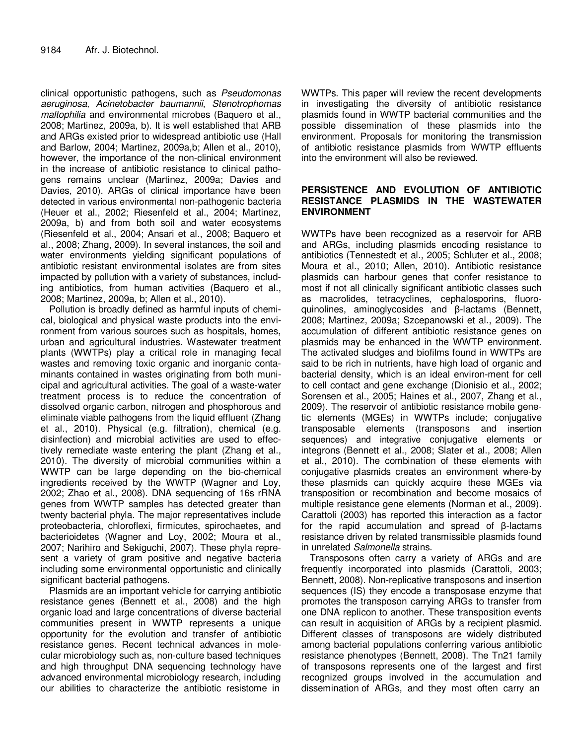clinical opportunistic pathogens, such as Pseudomonas aeruginosa, Acinetobacter baumannii, Stenotrophomas maltophilia and environmental microbes (Baquero et al., 2008; Martinez, 2009a, b). It is well established that ARB and ARGs existed prior to widespread antibiotic use (Hall and Barlow, 2004; Martinez, 2009a,b; Allen et al., 2010), however, the importance of the non-clinical environment in the increase of antibiotic resistance to clinical pathogens remains unclear (Martinez, 2009a; Davies and Davies, 2010). ARGs of clinical importance have been detected in various environmental non-pathogenic bacteria (Heuer et al., 2002; Riesenfeld et al., 2004; Martinez, 2009a, b) and from both soil and water ecosystems (Riesenfeld et al., 2004; Ansari et al., 2008; Baquero et al., 2008; Zhang, 2009). In several instances, the soil and water environments yielding significant populations of antibiotic resistant environmental isolates are from sites impacted by pollution with a variety of substances, including antibiotics, from human activities (Baquero et al., 2008; Martinez, 2009a, b; Allen et al., 2010).

Pollution is broadly defined as harmful inputs of chemical, biological and physical waste products into the environment from various sources such as hospitals, homes, urban and agricultural industries. Wastewater treatment plants (WWTPs) play a critical role in managing fecal wastes and removing toxic organic and inorganic contaminants contained in wastes originating from both municipal and agricultural activities. The goal of a waste-water treatment process is to reduce the concentration of dissolved organic carbon, nitrogen and phosphorous and eliminate viable pathogens from the liquid effluent (Zhang et al., 2010). Physical (e.g. filtration), chemical (e.g. disinfection) and microbial activities are used to effectively remediate waste entering the plant (Zhang et al., 2010). The diversity of microbial communities within a WWTP can be large depending on the bio-chemical ingredients received by the WWTP (Wagner and Loy, 2002; Zhao et al., 2008). DNA sequencing of 16s rRNA genes from WWTP samples has detected greater than twenty bacterial phyla. The major representatives include proteobacteria, chloroflexi, firmicutes, spirochaetes, and bacterioidetes (Wagner and Loy, 2002; Moura et al., 2007; Narihiro and Sekiguchi, 2007). These phyla represent a variety of gram positive and negative bacteria including some environmental opportunistic and clinically significant bacterial pathogens.

Plasmids are an important vehicle for carrying antibiotic resistance genes (Bennett et al., 2008) and the high organic load and large concentrations of diverse bacterial communities present in WWTP represents a unique opportunity for the evolution and transfer of antibiotic resistance genes. Recent technical advances in molecular microbiology such as, non-culture based techniques and high throughput DNA sequencing technology have advanced environmental microbiology research, including our abilities to characterize the antibiotic resistome in

WWTPs. This paper will review the recent developments in investigating the diversity of antibiotic resistance plasmids found in WWTP bacterial communities and the possible dissemination of these plasmids into the environment. Proposals for monitoring the transmission of antibiotic resistance plasmids from WWTP effluents into the environment will also be reviewed.

#### **PERSISTENCE AND EVOLUTION OF ANTIBIOTIC RESISTANCE PLASMIDS IN THE WASTEWATER ENVIRONMENT**

WWTPs have been recognized as a reservoir for ARB and ARGs, including plasmids encoding resistance to antibiotics (Tennestedt et al., 2005; Schluter et al., 2008; Moura et al., 2010; Allen, 2010). Antibiotic resistance plasmids can harbour genes that confer resistance to most if not all clinically significant antibiotic classes such as macrolides, tetracyclines, cephalosporins, fluoroquinolines, aminoglycosides and β-lactams (Bennett, 2008; Martinez, 2009a; Szcepanowski et al., 2009). The accumulation of different antibiotic resistance genes on plasmids may be enhanced in the WWTP environment. The activated sludges and biofilms found in WWTPs are said to be rich in nutrients, have high load of organic and bacterial density, which is an ideal environ-ment for cell to cell contact and gene exchange (Dionisio et al., 2002; Sorensen et al., 2005; Haines et al., 2007, Zhang et al., 2009). The reservoir of antibiotic resistance mobile genetic elements (MGEs) in WWTPs include; conjugative transposable elements (transposons and insertion sequences) and integrative conjugative elements or integrons (Bennett et al., 2008; Slater et al., 2008; Allen et al., 2010). The combination of these elements with conjugative plasmids creates an environment where-by these plasmids can quickly acquire these MGEs via transposition or recombination and become mosaics of multiple resistance gene elements (Norman et al., 2009). Carattoli (2003) has reported this interaction as a factor for the rapid accumulation and spread of β-lactams resistance driven by related transmissible plasmids found in unrelated Salmonella strains.

Transposons often carry a variety of ARGs and are frequently incorporated into plasmids (Carattoli, 2003; Bennett, 2008). Non-replicative transposons and insertion sequences (IS) they encode a transposase enzyme that promotes the transposon carrying ARGs to transfer from one DNA replicon to another. These transposition events can result in acquisition of ARGs by a recipient plasmid. Different classes of transposons are widely distributed among bacterial populations conferring various antibiotic resistance phenotypes (Bennett, 2008). The Tn21 family of transposons represents one of the largest and first recognized groups involved in the accumulation and dissemination of ARGs, and they most often carry an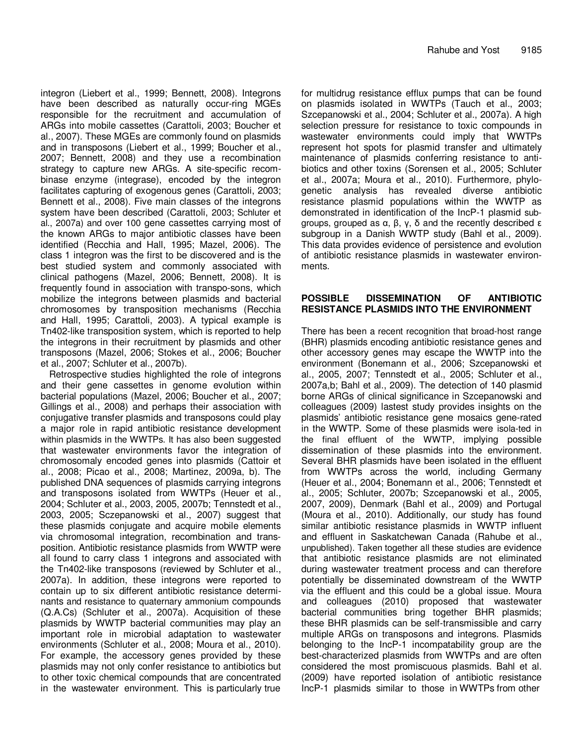integron (Liebert et al., 1999; Bennett, 2008). Integrons have been described as naturally occur-ring MGEs responsible for the recruitment and accumulation of ARGs into mobile cassettes (Carattoli, 2003; Boucher et al., 2007). These MGEs are commonly found on plasmids and in transposons (Liebert et al., 1999; Boucher et al., 2007; Bennett, 2008) and they use a recombination strategy to capture new ARGs. A site-specific recombinase enzyme (integrase), encoded by the integron facilitates capturing of exogenous genes (Carattoli, 2003; Bennett et al., 2008). Five main classes of the integrons system have been described (Carattoli, 2003; Schluter et al., 2007a) and over 100 gene cassettes carrying most of the known ARGs to major antibiotic classes have been identified (Recchia and Hall, 1995; Mazel, 2006). The class 1 integron was the first to be discovered and is the best studied system and commonly associated with clinical pathogens (Mazel, 2006; Bennett, 2008). It is frequently found in association with transpo-sons, which mobilize the integrons between plasmids and bacterial chromosomes by transposition mechanisms (Recchia and Hall, 1995; Carattoli, 2003). A typical example is Tn402-like transposition system, which is reported to help the integrons in their recruitment by plasmids and other transposons (Mazel, 2006; Stokes et al., 2006; Boucher et al., 2007; Schluter et al., 2007b).

Retrospective studies highlighted the role of integrons and their gene cassettes in genome evolution within bacterial populations (Mazel, 2006; Boucher et al., 2007; Gillings et al., 2008) and perhaps their association with conjugative transfer plasmids and transposons could play a major role in rapid antibiotic resistance development within plasmids in the WWTPs. It has also been suggested that wastewater environments favor the integration of chromosomaly encoded genes into plasmids (Cattoir et al., 2008; Picao et al., 2008; Martinez, 2009a, b). The published DNA sequences of plasmids carrying integrons and transposons isolated from WWTPs (Heuer et al., 2004; Schluter et al., 2003, 2005, 2007b; Tennstedt et al., 2003, 2005; Sczepanowski et al., 2007) suggest that these plasmids conjugate and acquire mobile elements via chromosomal integration, recombination and transposition. Antibiotic resistance plasmids from WWTP were all found to carry class 1 integrons and associated with the Tn402-like transposons (reviewed by Schluter et al., 2007a). In addition, these integrons were reported to contain up to six different antibiotic resistance determinants and resistance to quaternary ammonium compounds (Q.A.Cs) (Schluter et al., 2007a). Acquisition of these plasmids by WWTP bacterial communities may play an important role in microbial adaptation to wastewater environments (Schluter et al., 2008; Moura et al., 2010). For example, the accessory genes provided by these plasmids may not only confer resistance to antibiotics but to other toxic chemical compounds that are concentrated in the wastewater environment. This is particularly true for multidrug resistance efflux pumps that can be found on plasmids isolated in WWTPs (Tauch et al., 2003; Szcepanowski et al., 2004; Schluter et al., 2007a). A high selection pressure for resistance to toxic compounds in wastewater environments could imply that WWTPs represent hot spots for plasmid transfer and ultimately maintenance of plasmids conferring resistance to antibiotics and other toxins (Sorensen et al., 2005; Schluter et al., 2007a; Moura et al., 2010). Furthermore, phylogenetic analysis has revealed diverse antibiotic resistance plasmid populations within the WWTP as demonstrated in identification of the IncP-1 plasmid subgroups, grouped as α, β, γ, δ and the recently described ε subgroup in a Danish WWTP study (Bahl et al., 2009). This data provides evidence of persistence and evolution of antibiotic resistance plasmids in wastewater environments.

#### **POSSIBLE DISSEMINATION OF ANTIBIOTIC RESISTANCE PLASMIDS INTO THE ENVIRONMENT**

There has been a recent recognition that broad-host range (BHR) plasmids encoding antibiotic resistance genes and other accessory genes may escape the WWTP into the environment (Bonemann et al., 2006; Szcepanowski et al., 2005, 2007; Tennstedt et al., 2005; Schluter et al., 2007a,b; Bahl et al., 2009). The detection of 140 plasmid borne ARGs of clinical significance in Szcepanowski and colleagues (2009) lastest study provides insights on the plasmids' antibiotic resistance gene mosaics gene-rated in the WWTP. Some of these plasmids were isola-ted in the final effluent of the WWTP, implying possible dissemination of these plasmids into the environment. Several BHR plasmids have been isolated in the effluent from WWTPs across the world, including Germany (Heuer et al., 2004; Bonemann et al., 2006; Tennstedt et al., 2005; Schluter, 2007b; Szcepanowski et al., 2005, 2007, 2009), Denmark (Bahl et al., 2009) and Portugal (Moura et al., 2010). Additionally, our study has found similar antibiotic resistance plasmids in WWTP influent and effluent in Saskatchewan Canada (Rahube et al., unpublished). Taken together all these studies are evidence that antibiotic resistance plasmids are not eliminated during wastewater treatment process and can therefore potentially be disseminated downstream of the WWTP via the effluent and this could be a global issue. Moura and colleagues (2010) proposed that wastewater bacterial communities bring together BHR plasmids; these BHR plasmids can be self-transmissible and carry multiple ARGs on transposons and integrons. Plasmids belonging to the IncP-1 incompatability group are the best-characterized plasmids from WWTPs and are often considered the most promiscuous plasmids. Bahl et al. (2009) have reported isolation of antibiotic resistance IncP-1 plasmids similar to those in WWTPs from other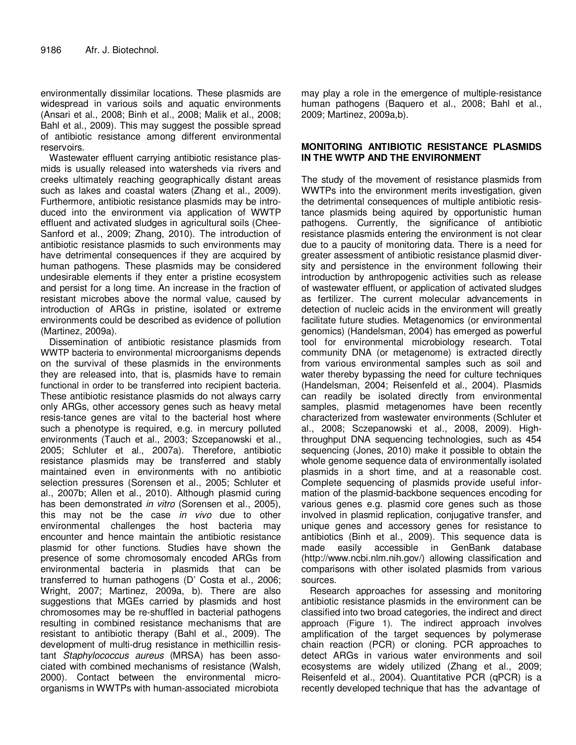environmentally dissimilar locations. These plasmids are widespread in various soils and aquatic environments (Ansari et al., 2008; Binh et al., 2008; Malik et al., 2008; Bahl et al., 2009). This may suggest the possible spread of antibiotic resistance among different environmental reservoirs.

Wastewater effluent carrying antibiotic resistance plasmids is usually released into watersheds via rivers and creeks ultimately reaching geographically distant areas such as lakes and coastal waters (Zhang et al., 2009). Furthermore, antibiotic resistance plasmids may be introduced into the environment via application of WWTP effluent and activated sludges in agricultural soils (Chee-Sanford et al., 2009; Zhang, 2010). The introduction of antibiotic resistance plasmids to such environments may have detrimental consequences if they are acquired by human pathogens. These plasmids may be considered undesirable elements if they enter a pristine ecosystem and persist for a long time. An increase in the fraction of resistant microbes above the normal value, caused by introduction of ARGs in pristine, isolated or extreme environments could be described as evidence of pollution (Martinez, 2009a).

Dissemination of antibiotic resistance plasmids from WWTP bacteria to environmental microorganisms depends on the survival of these plasmids in the environments they are released into, that is, plasmids have to remain functional in order to be transferred into recipient bacteria. These antibiotic resistance plasmids do not always carry only ARGs, other accessory genes such as heavy metal resis-tance genes are vital to the bacterial host where such a phenotype is required, e.g. in mercury polluted environments (Tauch et al., 2003; Szcepanowski et al., 2005; Schluter et al., 2007a). Therefore, antibiotic resistance plasmids may be transferred and stably maintained even in environments with no antibiotic selection pressures (Sorensen et al., 2005; Schluter et al., 2007b; Allen et al., 2010). Although plasmid curing has been demonstrated *in vitro* (Sorensen et al., 2005), this may not be the case in vivo due to other environmental challenges the host bacteria may encounter and hence maintain the antibiotic resistance plasmid for other functions. Studies have shown the presence of some chromosomaly encoded ARGs from environmental bacteria in plasmids that can be transferred to human pathogens (D' Costa et al., 2006; Wright, 2007; Martinez, 2009a, b). There are also suggestions that MGEs carried by plasmids and host chromosomes may be re-shuffled in bacterial pathogens resulting in combined resistance mechanisms that are resistant to antibiotic therapy (Bahl et al., 2009). The development of multi-drug resistance in methicillin resistant Staphylococcus aureus (MRSA) has been associated with combined mechanisms of resistance (Walsh, 2000). Contact between the environmental microorganisms in WWTPs with human-associated microbiota

may play a role in the emergence of multiple-resistance human pathogens (Baquero et al., 2008; Bahl et al., 2009; Martinez, 2009a,b).

## **MONITORING ANTIBIOTIC RESISTANCE PLASMIDS IN THE WWTP AND THE ENVIRONMENT**

The study of the movement of resistance plasmids from WWTPs into the environment merits investigation, given the detrimental consequences of multiple antibiotic resistance plasmids being aquired by opportunistic human pathogens. Currently, the significance of antibiotic resistance plasmids entering the environment is not clear due to a paucity of monitoring data. There is a need for greater assessment of antibiotic resistance plasmid diversity and persistence in the environment following their introduction by anthropogenic activities such as release of wastewater effluent, or application of activated sludges as fertilizer. The current molecular advancements in detection of nucleic acids in the environment will greatly facilitate future studies. Metagenomics (or environmental genomics) (Handelsman, 2004) has emerged as powerful tool for environmental microbiology research. Total community DNA (or metagenome) is extracted directly from various environmental samples such as soil and water thereby bypassing the need for culture techniques (Handelsman, 2004; Reisenfeld et al., 2004). Plasmids can readily be isolated directly from environmental samples, plasmid metagenomes have been recently characterized from wastewater environments (Schluter et al., 2008; Sczepanowski et al., 2008, 2009). Highthroughput DNA sequencing technologies, such as 454 sequencing (Jones, 2010) make it possible to obtain the whole genome sequence data of environmentally isolated plasmids in a short time, and at a reasonable cost. Complete sequencing of plasmids provide useful information of the plasmid-backbone sequences encoding for various genes e.g. plasmid core genes such as those involved in plasmid replication, conjugative transfer, and unique genes and accessory genes for resistance to antibiotics (Binh et al., 2009). This sequence data is made easily accessible in GenBank database (http://www.ncbi.nlm.nih.gov/) allowing classification and comparisons with other isolated plasmids from various sources.

Research approaches for assessing and monitoring antibiotic resistance plasmids in the environment can be classified into two broad categories, the indirect and direct approach (Figure 1). The indirect approach involves amplification of the target sequences by polymerase chain reaction (PCR) or cloning. PCR approaches to detect ARGs in various water environments and soil ecosystems are widely utilized (Zhang et al., 2009; Reisenfeld et al., 2004). Quantitative PCR (qPCR) is a recently developed technique that has the advantage of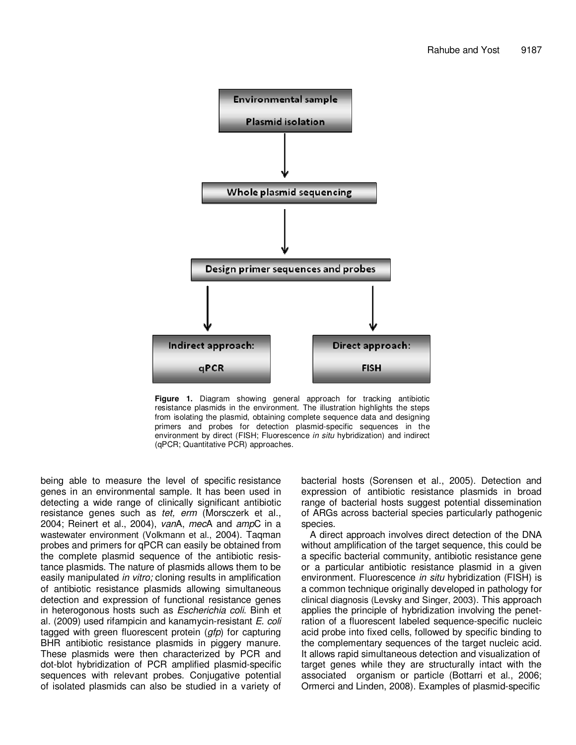

**Figure 1.** Diagram showing general approach for tracking antibiotic resistance plasmids in the environment. The illustration highlights the steps from isolating the plasmid, obtaining complete sequence data and designing primers and probes for detection plasmid-specific sequences in the environment by direct (FISH; Fluorescence in situ hybridization) and indirect (qPCR; Quantitative PCR) approaches.

being able to measure the level of specific resistance genes in an environmental sample. It has been used in detecting a wide range of clinically significant antibiotic resistance genes such as tet, erm (Morsczerk et al., 2004; Reinert et al., 2004), vanA, mecA and ampC in a wastewater environment (Volkmann et al., 2004). Taqman probes and primers for qPCR can easily be obtained from the complete plasmid sequence of the antibiotic resistance plasmids. The nature of plasmids allows them to be easily manipulated *in vitro;* cloning results in amplification of antibiotic resistance plasmids allowing simultaneous detection and expression of functional resistance genes in heterogonous hosts such as Escherichia coli. Binh et al. (2009) used rifampicin and kanamycin-resistant E. coli tagged with green fluorescent protein  $(gfp)$  for capturing BHR antibiotic resistance plasmids in piggery manure. These plasmids were then characterized by PCR and dot-blot hybridization of PCR amplified plasmid-specific sequences with relevant probes. Conjugative potential of isolated plasmids can also be studied in a variety of bacterial hosts (Sorensen et al., 2005). Detection and expression of antibiotic resistance plasmids in broad range of bacterial hosts suggest potential dissemination of ARGs across bacterial species particularly pathogenic species.

A direct approach involves direct detection of the DNA without amplification of the target sequence, this could be a specific bacterial community, antibiotic resistance gene or a particular antibiotic resistance plasmid in a given environment. Fluorescence *in situ* hybridization (FISH) is a common technique originally developed in pathology for clinical diagnosis (Levsky and Singer, 2003). This approach applies the principle of hybridization involving the penetration of a fluorescent labeled sequence-specific nucleic acid probe into fixed cells, followed by specific binding to the complementary sequences of the target nucleic acid. It allows rapid simultaneous detection and visualization of target genes while they are structurally intact with the associated organism or particle (Bottarri et al., 2006; Ormerci and Linden, 2008). Examples of plasmid-specific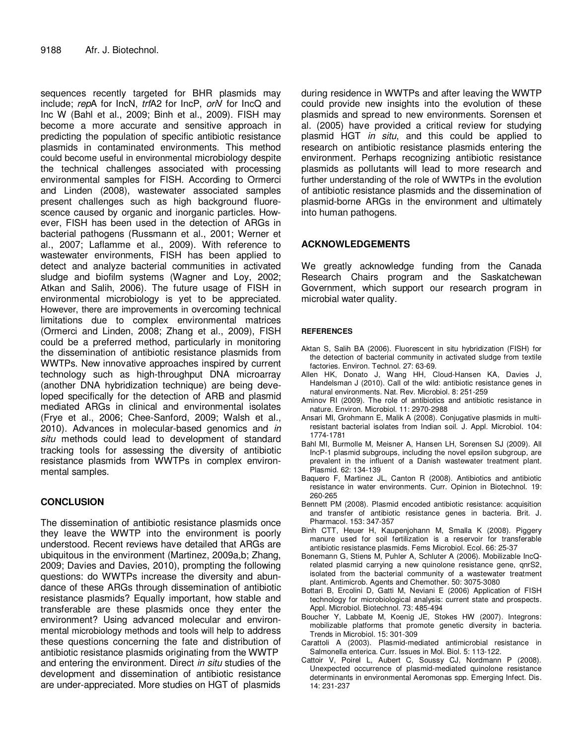sequences recently targeted for BHR plasmids may include; repA for IncN, trfA2 for IncP, orN for IncQ and Inc W (Bahl et al., 2009; Binh et al., 2009). FISH may become a more accurate and sensitive approach in predicting the population of specific antibiotic resistance plasmids in contaminated environments. This method could become useful in environmental microbiology despite the technical challenges associated with processing environmental samples for FISH. According to Ormerci and Linden (2008), wastewater associated samples present challenges such as high background fluorescence caused by organic and inorganic particles. However, FISH has been used in the detection of ARGs in bacterial pathogens (Russmann et al., 2001; Werner et al., 2007; Laflamme et al., 2009). With reference to wastewater environments, FISH has been applied to detect and analyze bacterial communities in activated sludge and biofilm systems (Wagner and Loy, 2002; Atkan and Salih, 2006). The future usage of FISH in environmental microbiology is yet to be appreciated. However, there are improvements in overcoming technical limitations due to complex environmental matrices (Ormerci and Linden, 2008; Zhang et al., 2009), FISH could be a preferred method, particularly in monitoring the dissemination of antibiotic resistance plasmids from WWTPs. New innovative approaches inspired by current technology such as high-throughput DNA microarray (another DNA hybridization technique) are being developed specifically for the detection of ARB and plasmid mediated ARGs in clinical and environmental isolates (Frye et al., 2006; Chee-Sanford, 2009; Walsh et al., 2010). Advances in molecular-based genomics and in situ methods could lead to development of standard tracking tools for assessing the diversity of antibiotic resistance plasmids from WWTPs in complex environmental samples.

# **CONCLUSION**

The dissemination of antibiotic resistance plasmids once they leave the WWTP into the environment is poorly understood. Recent reviews have detailed that ARGs are ubiquitous in the environment (Martinez, 2009a,b; Zhang, 2009; Davies and Davies, 2010), prompting the following questions: do WWTPs increase the diversity and abundance of these ARGs through dissemination of antibiotic resistance plasmids? Equally important, how stable and transferable are these plasmids once they enter the environment? Using advanced molecular and environmental microbiology methods and tools will help to address these questions concerning the fate and distribution of antibiotic resistance plasmids originating from the WWTP and entering the environment. Direct in situ studies of the development and dissemination of antibiotic resistance are under-appreciated. More studies on HGT of plasmids during residence in WWTPs and after leaving the WWTP could provide new insights into the evolution of these plasmids and spread to new environments. Sorensen et al. (2005) have provided a critical review for studying plasmid HGT in situ, and this could be applied to research on antibiotic resistance plasmids entering the environment. Perhaps recognizing antibiotic resistance plasmids as pollutants will lead to more research and further understanding of the role of WWTPs in the evolution of antibiotic resistance plasmids and the dissemination of plasmid-borne ARGs in the environment and ultimately into human pathogens.

## **ACKNOWLEDGEMENTS**

We greatly acknowledge funding from the Canada Research Chairs program and the Saskatchewan Government, which support our research program in microbial water quality.

#### **REFERENCES**

- Aktan S, Salih BA (2006). Fluorescent in situ hybridization (FISH) for the detection of bacterial community in activated sludge from textile factories. Environ. Technol. 27: 63-69.
- Allen HK, Donato J, Wang HH, Cloud-Hansen KA, Davies J, Handelsman J (2010). Call of the wild: antibiotic resistance genes in natural environments. Nat. Rev. Microbiol. 8: 251-259
- Aminov RI (2009). The role of antibiotics and antibiotic resistance in nature. Environ. Microbiol. 11: 2970-2988
- Ansari MI, Grohmann E, Malik A (2008). Conjugative plasmids in multiresistant bacterial isolates from Indian soil. J. Appl. Microbiol. 104: 1774-1781
- Bahl MI, Burmolle M, Meisner A, Hansen LH, Sorensen SJ (2009). All IncP-1 plasmid subgroups, including the novel epsilon subgroup, are prevalent in the influent of a Danish wastewater treatment plant. Plasmid. 62: 134-139
- Baquero F, Martinez JL, Canton R (2008). Antibiotics and antibiotic resistance in water environments. Curr. Opinion in Biotechnol. 19: 260-265
- Bennett PM (2008). Plasmid encoded antibiotic resistance: acquisition and transfer of antibiotic resistance genes in bacteria. Brit. J. Pharmacol. 153: 347-357
- Binh CTT, Heuer H, Kaupenjohann M, Smalla K (2008). Piggery manure used for soil fertilization is a reservoir for transferable antibiotic resistance plasmids. Fems Microbiol. Ecol. 66: 25-37
- Bonemann G, Stiens M, Puhler A, Schluter A (2006). Mobilizable IncQrelated plasmid carrying a new quinolone resistance gene, qnrS2, isolated from the bacterial community of a wastewater treatment plant. Antimicrob. Agents and Chemother. 50: 3075-3080
- Bottari B, Ercolini D, Gatti M, Neviani E (2006) Application of FISH technology for microbiological analysis: current state and prospects. Appl. Microbiol. Biotechnol. 73: 485-494
- Boucher Y, Labbate M, Koenig JE, Stokes HW (2007). Integrons: mobilizable platforms that promote genetic diversity in bacteria. Trends in Microbiol. 15: 301-309
- Carattoli A (2003). Plasmid-mediated antimicrobial resistance in Salmonella enterica. Curr. Issues in Mol. Biol. 5: 113-122.
- Cattoir V, Poirel L, Aubert C, Soussy CJ, Nordmann P (2008). Unexpected occurrence of plasmid-mediated quinolone resistance determinants in environmental Aeromonas spp. Emerging Infect. Dis. 14: 231-237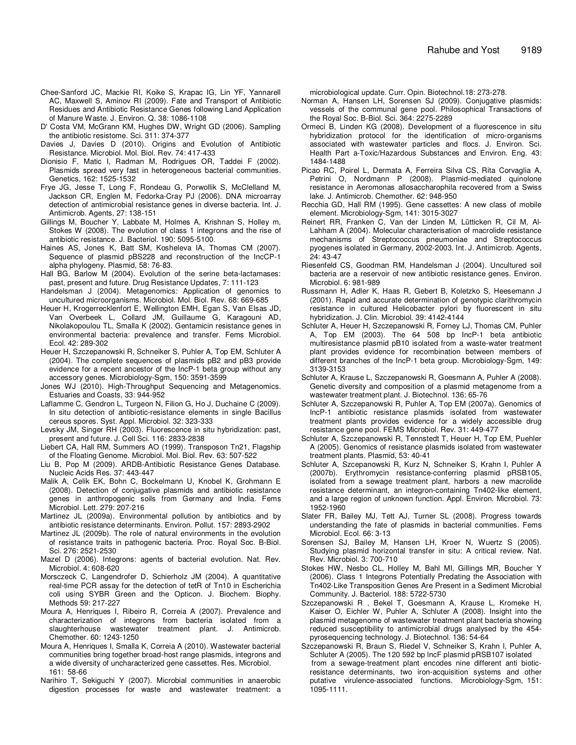- Chee-Sanford JC, Mackie RI, Koike S, Krapac IG, Lin YF, Yannarell AC, Maxwell S, Aminov RI (2009). Fate and Transport of Antibiotic Residues and Antibiotic Resistance Genes following Land Application of Manure Waste. J. Environ. Q. 38: 1086-1108
- D' Costa VM, McGrann KM, Hughes DW, Wright GD (2006). Sampling the antibiotic resistome. Sci. 311: 374-377
- Davies J, Davies D (2010). Origins and Evolution of Antibiotic Resistance. Microbiol. Mol. Biol. Rev. 74: 417-433
- Dionisio F, Matic I, Radman M, Rodrigues OR, Taddei F (2002). Plasmids spread very fast in heterogeneous bacterial communities. Genetics, 162: 1525-1532
- Frye JG, Jesse T, Long F, Rondeau G, Porwollik S, McClelland M, Jackson CR, Englen M, Fedorka-Cray PJ (2006). DNA microarray detection of antimicrobial resistance genes in diverse bacteria. Int. J. Antimicrob. Agents, 27: 138-151
- Gillings M, Boucher Y, Labbate M, Holmes A, Krishnan S, Holley m, Stokes W (2008). The evolution of class 1 integrons and the rise of antibiotic resistance. J. Bacteriol. 190: 5095-5100.
- Haines AS, Jones K, Batt SM, Kosheleva IA, Thomas CM (2007). Sequence of plasmid pBS228 and reconstruction of the IncCP-1 alpha phylogeny. Plasmid, 58: 76-83.
- Hall BG, Barlow M (2004). Evolution of the serine beta-lactamases: past, present and future. Drug Resistance Updates, 7: 111-123
- Handelsman J (2004). Metagenomics: Application of genomics to uncultured microorganisms. Microbiol. Mol. Biol. Rev. 68: 669-685
- Heuer H, Krogerrecklenfort E, Wellington EMH, Egan S, Van Elsas JD, Van Overbeek L, Collard JM, Guillaume G, Karagouni AD, Nikolakopoulou TL, Smalla K (2002). Gentamicin resistance genes in environmental bacteria: prevalence and transfer. Fems Microbiol. Ecol. 42: 289-302
- Heuer H, Szczepanowski R, Schneiker S, Puhler A, Top EM, Schluter A (2004). The complete sequences of plasmids pB2 and pB3 provide evidence for a recent ancestor of the IncP-1 beta group without any accessory genes. Microbiology-Sgm, 150: 3591-3599
- Jones WJ (2010). High-Throughput Sequencing and Metagenomics. Estuaries and Coasts, 33: 944-952
- Laflamme C, Gendron L, Turgeon N, Filion G, Ho J, Duchaine C (2009). In situ detection of antibiotic-resistance elements in single Bacillus cereus spores. Syst. Appl. Microbiol. 32: 323-333
- Levsky JM, Singer RH (2003). Fluorescence in situ hybridization: past, present and future. J. Cell Sci. 116: 2833-2838
- Liebert CA, Hall RM, Summers AO (1999). Transposon Tn21, Flagship of the Floating Genome. Microbiol. Mol. Biol. Rev. 63: 507-522
- Liu B, Pop M (2009). ARDB-Antibiotic Resistance Genes Database. Nucleic Acids Res. 37: 443-447
- Malik A, Celik EK, Bohn C, Bockelmann U, Knobel K, Grohmann E (2008). Detection of conjugative plasmids and antibiotic resistance genes in anthropogenic soils from Germany and India. Fems Microbiol. Lett. 279: 207-216
- Martinez JL (2009a). Environmental pollution by antibiotics and by antibiotic resistance determinants. Environ. Pollut. 157: 2893-2902
- Martinez JL (2009b). The role of natural environments in the evolution of resistance traits in pathogenic bacteria. Proc. Royal Soc. B-Biol. Sci. 276: 2521-2530
- Mazel D (2006). Integrons: agents of bacterial evolution. Nat. Rev. Microbiol. 4: 608-620
- Morsczeck C, Langendrofer D, Schierholz JM (2004). A quantitative real-time PCR assay for the detection of tetR of Tn10 in Escherichia coli using SYBR Green and the Opticon. J. Biochem. Biophy. Methods 59: 217-227
- Moura A, Henriques I, Ribeiro R, Correia A (2007). Prevalence and characterization of integrons from bacteria isolated from a slaughterhouse wastewater treatment plant. J. Antimicrob. Chemother. 60: 1243-1250
- Moura A, Henriques I, Smalla K, Correia A (2010). Wastewater bacterial communities bring together broad-host range plasmids, integrons and a wide diversity of uncharacterized gene cassettes. Res. Microbiol. 161: 58-66
- Narihiro T, Sekiguchi Y (2007). Microbial communities in anaerobic digestion processes for waste and wastewater treatment: a

microbiological update. Curr. Opin. Biotechnol.18: 273-278.

- Norman A, Hansen LH, Sorensen SJ (2009). Conjugative plasmids: vessels of the communal gene pool. Philosophical Transactions of the Royal Soc. B-Biol. Sci. 364: 2275-2289
- Ormeci B, Linden KG (2008). Development of a fluorescence in situ hybridization protocol for the identification of micro-organisms associated with wastewater particles and flocs. J. Environ. Sci. Health Part a-Toxic/Hazardous Substances and Environ. Eng. 43: 1484-1488
- Picao RC, Poirel L, Dermata A, Ferreira Silva CS, Rita Corvaglia A, Petrini O, Nordmann P (2008). Plasmid-mediated quinolone resistance in Aeromonas allosaccharophila recovered from a Swiss lake. J. Antimicrob. Chemother. 62: 948-950
- Recchia GD, Hall RM (1995). Gene cassettes: A new class of mobile element. Microbiology-Sgm, 141: 3015-3027
- Reinert RR, Franken C, Van der Linden M, Lütticken R, Cil M, Al-Lahham A (2004). Molecular characterisation of macrolide resistance mechanisms of Streptococcus pneumoniae and Streptococcus pyogenes isolated in Germany, 2002-2003. Int. J. Antimicrob. Agents, 24: 43-47
- Riesenfeld CS, Goodman RM, Handelsman J (2004). Uncultured soil bacteria are a reservoir of new antibiotic resistance genes. Environ. Microbiol. 6: 981-989
- Russmann H, Adler K, Haas R, Gebert B, Koletzko S, Heesemann J (2001). Rapid and accurate determination of genotypic clarithromycin resistance in cultured Helicobacter pylori by fluorescent in situ hybridization. J. Clin. Microbiol. 39: 4142-4144
- Schluter A, Heuer H, Szczepanowski R, Forney LJ, Thomas CM, Puhler A, Top EM (2003). The 64 508 bp IncP-1 beta antibiotic multiresistance plasmid pB10 isolated from a waste-water treatment plant provides evidence for recombination between members of different branches of the IncP-1 beta group. Microbiology-Sgm, 149: 3139-3153
- Schluter A, Krause L, Szczepanowski R, Goesmann A, Puhler A (2008). Genetic diversity and composition of a plasmid metagenome from a wastewater treatment plant. J. Biotechnol. 136: 65-76
- Schluter A, Szczepanowski R, Puhler A, Top EM (2007a). Genomics of IncP-1 antibiotic resistance plasmids isolated from wastewater treatment plants provides evidence for a widely accessible drug resistance gene pool. FEMS Microbiol. Rev. 31: 449-477
- Schluter A, Szczepanowski R, Tennstedt T, Heuer H, Top EM, Puehler A (2005). Genomics of resistance plasmids isolated from wastewater treatment plants. Plasmid, 53: 40-41
- Schluter A, Szcepanowski R, Kurz N, Schneiker S, Krahn I, Puhler A (2007b). Erythromycin resistance-conferring plasmid pRSB105, isolated from a sewage treatment plant, harbors a new macrolide resistance determinant, an integron-containing Tn402-like element, and a large region of unknown function. Appl. Environ. Microbiol. 73: 1952-1960
- Slater FR, Bailey MJ, Tett AJ, Turner SL (2008). Progress towards understanding the fate of plasmids in bacterial communities. Fems Microbiol. Ecol. 66: 3-13
- Sorensen SJ, Bailey M, Hansen LH, Kroer N, Wuertz S (2005). Studying plasmid horizontal transfer in situ: A critical review. Nat. Rev. Microbiol. 3: 700-710
- Stokes HW, Nesbo CL, Holley M, Bahl MI, Gillings MR, Boucher Y (2006). Class 1 Integrons Potentially Predating the Association with Tn402-Like Transposition Genes Are Present in a Sediment Microbial Community. J. Bacteriol. 188: 5722-5730
- Szczepanowski R , Bekel T, Goesmann A, Krause L, Kromeke H, Kaiser O, Eichler W, Puhler A, Schluter A (2008). Insight into the plasmid metagenome of wastewater treatment plant bacteria showing reduced susceptibility to antimicrobial drugs analysed by the 454 pyrosequencing technology. J. Biotechnol. 136: 54-64
- Szczepanowski R, Braun S, Riedel V, Schneiker S, Krahn I, Puhler A, Schluter A (2005). The 120 592 bp lncF plasmid pRSB107 isolated from a sewage-treatment plant encodes nine different anti bioticresistance determinants, two iron-acquisition systems and other putative virulence-associated functions. Microbiology-Sgm, 151: 1095-1111.